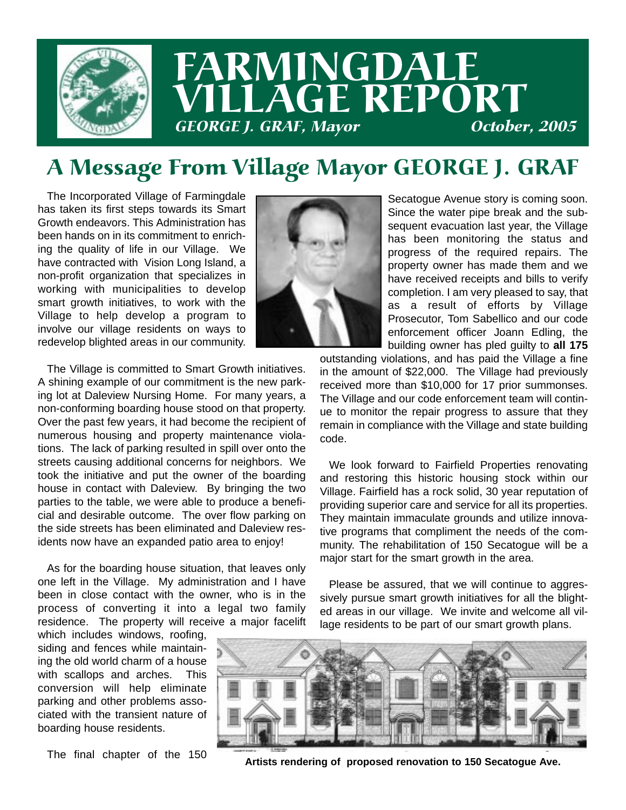

# A Message From Village Mayor GEORGE J. GRAF

The Incorporated Village of Farmingdale has taken its first steps towards its Smart Growth endeavors. This Administration has been hands on in its commitment to enriching the quality of life in our Village. We have contracted with Vision Long Island, a non-profit organization that specializes in working with municipalities to develop smart growth initiatives, to work with the Village to help develop a program to involve our village residents on ways to redevelop blighted areas in our community.

The Village is committed to Smart Growth initiatives. A shining example of our commitment is the new parking lot at Daleview Nursing Home. For many years, a non-conforming boarding house stood on that property. Over the past few years, it had become the recipient of numerous housing and property maintenance violations. The lack of parking resulted in spill over onto the streets causing additional concerns for neighbors. We took the initiative and put the owner of the boarding house in contact with Daleview. By bringing the two parties to the table, we were able to produce a beneficial and desirable outcome. The over flow parking on the side streets has been eliminated and Daleview residents now have an expanded patio area to enjoy!

As for the boarding house situation, that leaves only one left in the Village. My administration and I have been in close contact with the owner, who is in the process of converting it into a legal two family residence. The property will receive a major facelift

which includes windows, roofing, siding and fences while maintaining the old world charm of a house with scallops and arches. This conversion will help eliminate parking and other problems associated with the transient nature of boarding house residents.

The final chapter of the 150



Secatogue Avenue story is coming soon. Since the water pipe break and the subsequent evacuation last year, the Village has been monitoring the status and progress of the required repairs. The property owner has made them and we have received receipts and bills to verify completion. I am very pleased to say, that as a result of efforts by Village Prosecutor, Tom Sabellico and our code enforcement officer Joann Edling, the building owner has pled guilty to **all 175**

outstanding violations, and has paid the Village a fine in the amount of \$22,000. The Village had previously received more than \$10,000 for 17 prior summonses. The Village and our code enforcement team will continue to monitor the repair progress to assure that they remain in compliance with the Village and state building code.

We look forward to Fairfield Properties renovating and restoring this historic housing stock within our Village. Fairfield has a rock solid, 30 year reputation of providing superior care and service for all its properties. They maintain immaculate grounds and utilize innovative programs that compliment the needs of the community. The rehabilitation of 150 Secatogue will be a major start for the smart growth in the area.

Please be assured, that we will continue to aggressively pursue smart growth initiatives for all the blighted areas in our village. We invite and welcome all village residents to be part of our smart growth plans.



**Artists rendering of proposed renovation to 150 Secatogue Ave.**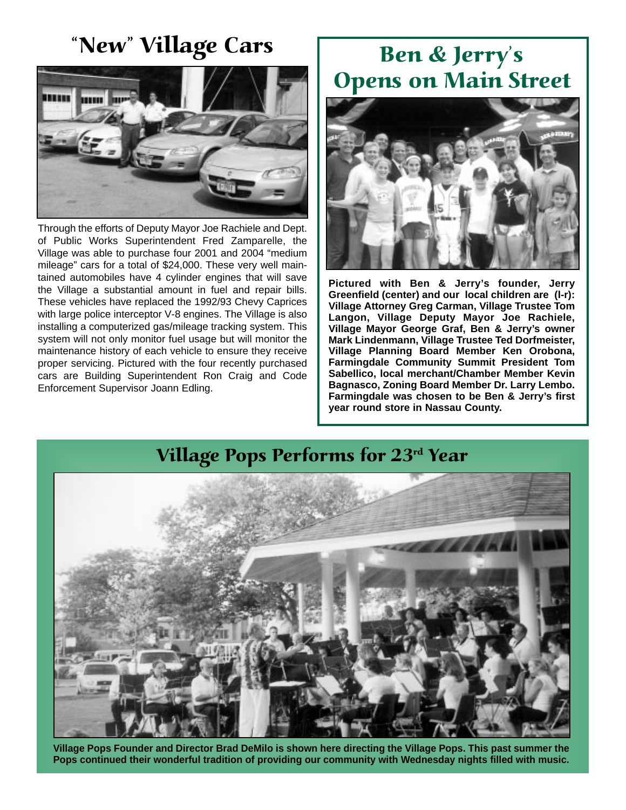### "New" Village Cars



Through the efforts of Deputy Mayor Joe Rachiele and Dept. of Public Works Superintendent Fred Zamparelle, the Village was able to purchase four 2001 and 2004 "medium mileage" cars for a total of \$24,000. These very well maintained automobiles have 4 cylinder engines that will save the Village a substantial amount in fuel and repair bills. These vehicles have replaced the 1992/93 Chevy Caprices with large police interceptor V-8 engines. The Village is also installing a computerized gas/mileage tracking system. This system will not only monitor fuel usage but will monitor the maintenance history of each vehicle to ensure they receive proper servicing. Pictured with the four recently purchased cars are Building Superintendent Ron Craig and Code Enforcement Supervisor Joann Edling.

## Ben & Jerry's Opens on Main Street



**Pictured with Ben & Jerry's founder, Jerry Greenfield (center) and our local children are (l-r): Village Attorney Greg Carman, Village Trustee Tom Langon, Village Deputy Mayor Joe Rachiele, Village Mayor George Graf, Ben & Jerry's owner Mark Lindenmann, Village Trustee Ted Dorfmeister, Village Planning Board Member Ken Orobona, Farmingdale Community Summit President Tom Sabellico, local merchant/Chamber Member Kevin Bagnasco, Zoning Board Member Dr. Larry Lembo. Farmingdale was chosen to be Ben & Jerry's first year round store in Nassau County.** 



**Village Pops Founder and Director Brad DeMilo is shown here directing the Village Pops. This past summer the Pops continued their wonderful tradition of providing our community with Wednesday nights filled with music.**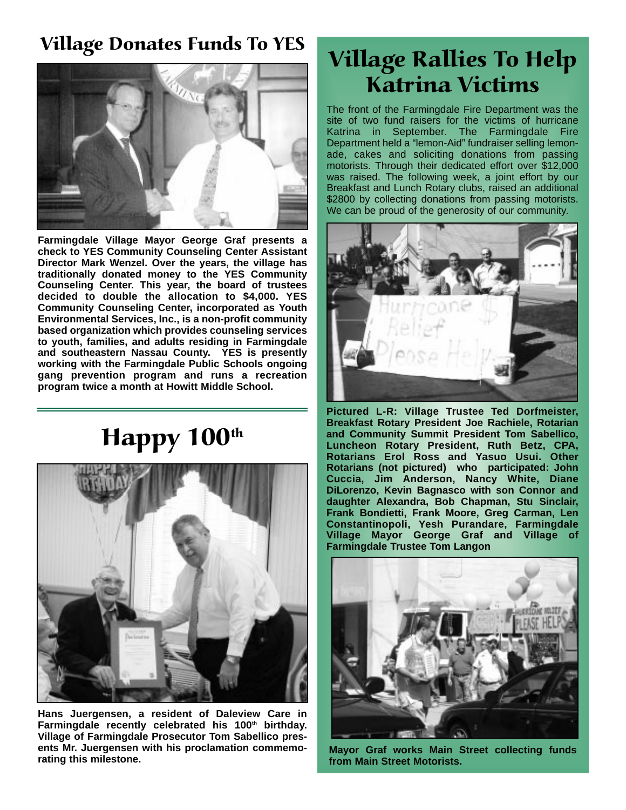#### Village Donates Funds To YES



**Farmingdale Village Mayor George Graf presents a check to YES Community Counseling Center Assistant Director Mark Wenzel. Over the years, the village has traditionally donated money to the YES Community Counseling Center. This year, the board of trustees decided to double the allocation to \$4,000. YES Community Counseling Center, incorporated as Youth Environmental Services, Inc., is a non-profit community based organization which provides counseling services to youth, families, and adults residing in Farmingdale and southeastern Nassau County. YES is presently working with the Farmingdale Public Schools ongoing gang prevention program and runs a recreation program twice a month at Howitt Middle School.**

# Happy 100<sup>th</sup>



**Hans Juergensen, a resident of Daleview Care in** Farmingdale recently celebrated his 100<sup>th</sup> birthday. **Village of Farmingdale Prosecutor Tom Sabellico presents Mr. Juergensen with his proclamation commemorating this milestone.**

## Village Rallies To Help Katrina Victims

The front of the Farmingdale Fire Department was the site of two fund raisers for the victims of hurricane Katrina in September. The Farmingdale Fire Department held a "lemon-Aid" fundraiser selling lemonade, cakes and soliciting donations from passing motorists. Through their dedicated effort over \$12,000 was raised. The following week, a joint effort by our Breakfast and Lunch Rotary clubs, raised an additional \$2800 by collecting donations from passing motorists. We can be proud of the generosity of our community.



**Pictured L-R: Village Trustee Ted Dorfmeister, Breakfast Rotary President Joe Rachiele, Rotarian and Community Summit President Tom Sabellico, Luncheon Rotary President, Ruth Betz, CPA, Rotarians Erol Ross and Yasuo Usui. Other Rotarians (not pictured) who participated: John Cuccia, Jim Anderson, Nancy White, Diane DiLorenzo, Kevin Bagnasco with son Connor and daughter Alexandra, Bob Chapman, Stu Sinclair, Frank Bondietti, Frank Moore, Greg Carman, Len Constantinopoli, Yesh Purandare, Farmingdale Village Mayor George Graf and Village of Farmingdale Trustee Tom Langon**



**Mayor Graf works Main Street collecting funds from Main Street Motorists.**